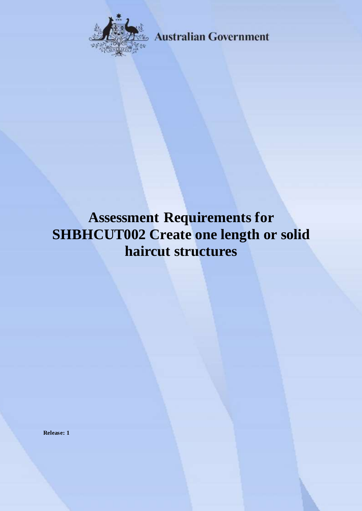

**Australian Government** 

# **Assessment Requirements for SHBHCUT002 Create one length or solid haircut structures**

**Release: 1**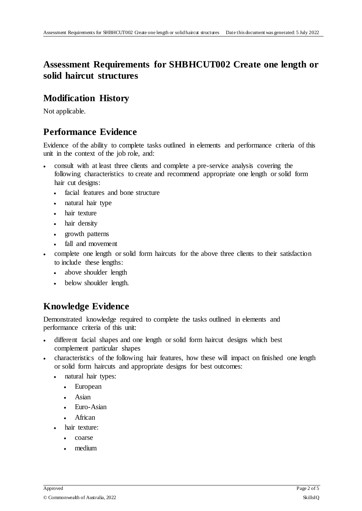# **Assessment Requirements for SHBHCUT002 Create one length or solid haircut structures**

#### **Modification History**

Not applicable.

# **Performance Evidence**

Evidence of the ability to complete tasks outlined in elements and performance criteria of this unit in the context of the job role, and:

- consult with at least three clients and complete a pre-service analysis covering the following characteristics to create and recommend appropriate one length or solid form hair cut designs:
	- facial features and bone structure
	- natural hair type
	- hair texture
	- hair density
	- growth patterns
	- fall and movement
- complete one length or solid form haircuts for the above three clients to their satisfaction to include these lengths:
	- above shoulder length
	- below shoulder length.

# **Knowledge Evidence**

Demonstrated knowledge required to complete the tasks outlined in elements and performance criteria of this unit:

- different facial shapes and one length or solid form haircut designs which best complement particular shapes
- characteristics of the following hair features, how these will impact on finished one length or solid form haircuts and appropriate designs for best outcomes:
	- natural hair types:
		- European
		- Asian
		- Euro-Asian
		- African
	- hair texture:
		- coarse
		- medium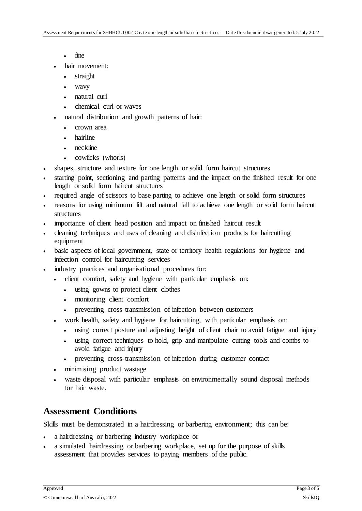- fine
- hair movement:
	- straight
	- wavy
	- natural curl
	- chemical curl or waves
- natural distribution and growth patterns of hair:
	- crown area
	- hairline
	- neckline
	- cowlicks (whorls)
- shapes, structure and texture for one length or solid form haircut structures
- starting point, sectioning and parting patterns and the impact on the finished result for one length or solid form haircut structures
- required angle of scissors to base parting to achieve one length or solid form structures
- reasons for using minimum lift and natural fall to achieve one length or solid form haircut structures
- importance of client head position and impact on finished haircut result
- cleaning techniques and uses of cleaning and disinfection products for haircutting equipment
- basic aspects of local government, state or territory health regulations for hygiene and infection control for haircutting services
- industry practices and organisational procedures for:
	- client comfort, safety and hygiene with particular emphasis on:
		- using gowns to protect client clothes
		- monitoring client comfort
		- preventing cross-transmission of infection between customers
	- work health, safety and hygiene for haircutting, with particular emphasis on:
		- using correct posture and adjusting height of client chair to avoid fatigue and injury
		- using correct techniques to hold, grip and manipulate cutting tools and combs to avoid fatigue and injury
		- preventing cross-transmission of infection during customer contact
	- minimising product wastage
	- waste disposal with particular emphasis on environmentally sound disposal methods for hair waste.

#### **Assessment Conditions**

Skills must be demonstrated in a hairdressing or barbering environment; this can be:

- a hairdressing or barbering industry workplace or
- a simulated hairdressing or barbering workplace, set up for the purpose of skills assessment that provides services to paying members of the public.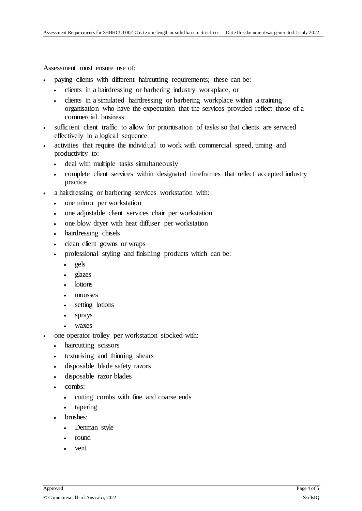Assessment must ensure use of:

- paying clients with different haircutting requirements; these can be:
	- clients in a hairdressing or barbering industry workplace, or
	- clients in a simulated hairdressing or barbering workplace within a training organisation who have the expectation that the services provided reflect those of a commercial business
- sufficient client traffic to allow for prioritisation of tasks so that clients are serviced effectively in a logical sequence
- activities that require the individual to work with commercial speed, timing and productivity to:
	- deal with multiple tasks simultaneously
	- complete client services within designated timeframes that reflect accepted industry practice
- a hairdressing or barbering services workstation with:
	- one mirror per workstation
	- one adjustable client services chair per workstation
	- one blow dryer with heat diffuser per workstation
	- hairdressing chisels
	- clean client gowns or wraps
	- professional styling and finishing products which can be:
		- gels
		- glazes
		- lotions
		- mousses
		- setting lotions
		- sprays
		- waxes
- one operator trolley per workstation stocked with:
	- haircutting scissors
	- texturising and thinning shears
	- disposable blade safety razors
	- disposable razor blades
	- combs:
		- cutting combs with fine and coarse ends
		- tapering
	- brushes:
		- Denman style
		- round
		- vent